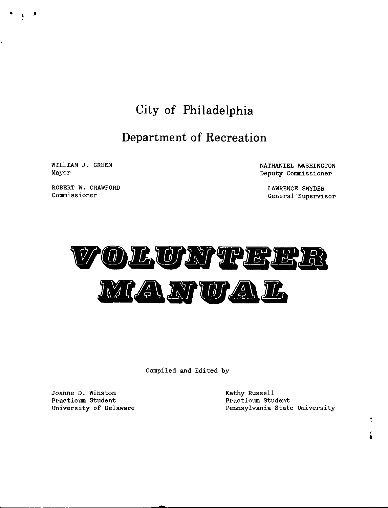# **City of Philadelphia**

# **Department of Recreation**

WILLIAM J. GREEN Mayor

ROBERT W. CRAWFORD **Commissioner** 

NATHANIEL WASHINGTON Deputy Commissioner

LAWRENCE SNYDER General Supervisor



Comp1led and Edited by

Joanne D. Winston Practicum Student University of Delaware Kathy Russell Practicum Student Pennsylvania State University

> *I*  **t**

 $\overline{\phantom{a}}$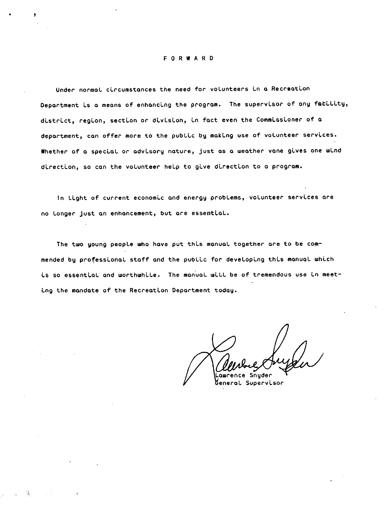#### F O R W A R D

Under normal circumstances the need for volunteers in a Recreation Department is a means of enhancing the program. The supervisor of any facility, district, region, section or division, in fact even the Commissioner of a department, can offer more to the public by making use of volunteer services. Whether of a special or advisory nature, just as a weather vane gives one wind direction, so can the volunteer help to give direction to a program.

In Light of current economic and energy problems, volunteer services are no Longer just an enhancement, but are essential.

The two young people who have put this manual together are to be commended by professional staff and the public for developing this manual which is so essential and worthwhile. The manual will be of tremendous use in meeting the mandate of the Recreation Department today.

Snuder General Supervisor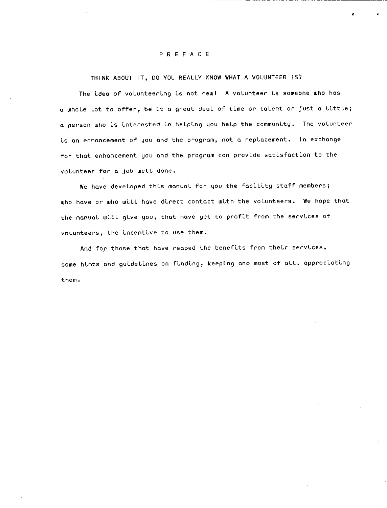# PREFACE

THINK ABOUT IT, DO YOU REALLY KNOW WHAT A VOLUNTEER IS?

The idea of volunteering is not new! A volunteer is someone who has a whoLe Lot to offer, be Lt a great deoL of tLme *or* toLent *or* just a LLttLe; a person who is interested in helping you help the community. The volunteer is an enhancement of you and the program, not a replacement. In exchange for that enhancement you and the program can provide satisfaction to the voLunteer *for* a job weLL done.

• •

We have developed this manual for you the facility staff members; who have or who will have direct contact with the volunteers. We hope that the manual will give you, that have yet to profit from the services of volunteers, the incentive to use them.

And for those that have reaped the benefits from their services, some hints and guidelines on finding, keeping and most of all, appreciating them.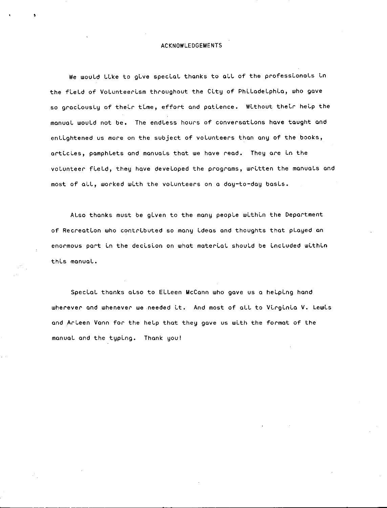## ACKNOWLEDGEMENTS

We would like to give special thanks to all of the professionals in the field of Volunteerism throughout the City of Philadelphia, who gave so graciously of their time, effort and patience. Without their help the manual would not be. The endless hours of conversations have taught and enlightened us more on the subject of volunteers than any of the books, articles, pamphlets and manuals that we have read. They are in the volunteer field, they have developed the programs, written the manuals and most of all, worked with the volunteers on a day-to-day basis.

Also thanks must be given to the many people within the Department of Recreation who contributed so many ideas and thoughts that played an enormous part in the decision on what material should be included within thLs manual.

Special thanks also to Eileen McCann who gave us a helping hand wherever and whenever we needed it. And most of all to Virginia V. Lewis and Arleen Vann for the help that they gave us with the format of the manual and the typLng. Thank you!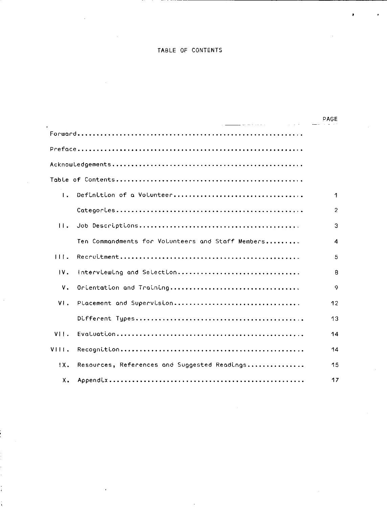## TABLE OF CONTENTS

|                | <u> 1986 - Johann Johnson, markin f</u>           | PAGE           |
|----------------|---------------------------------------------------|----------------|
|                |                                                   |                |
|                |                                                   |                |
|                |                                                   |                |
|                |                                                   |                |
| $\mathbf{L}$   | Definition of a Volunteer                         | 1              |
|                |                                                   | $\overline{2}$ |
| 11.            |                                                   | 3              |
|                | Ten Commandments for Volunteers and Staff Members | 4              |
| 111.           |                                                   | 5              |
| $\mathbf{W}$ . | Interviewing and Selection                        | 8              |
| ٧.             |                                                   | 9              |
| VI.            | Placement and Supervision                         | 12             |
|                |                                                   | 13             |
| VII.           |                                                   | 14             |
| VIII.          |                                                   | 14             |
| 1X.            | Resources, References and Suggested Readings      | 15             |
| x.             |                                                   | 17             |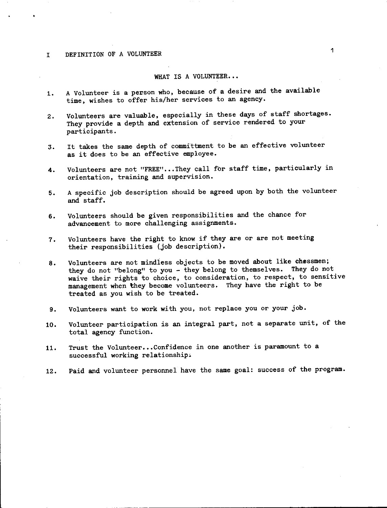#### I DEFINITION OF A VOLUNTEER

#### WHAT IS A VOLUNTEER...

- 1. A Volunteer is a person who, because of a desire and the available time, wishes to offer his/her services to an agency.
- 2. Volunteers are valuable, especially in these days of staff shortages. They provide a depth and extension of service rendered to your participants.
- 3. It takes the same depth of committment to be an effective volunteer as it does to be an effective employee.
- 4. Volunteers are not "FREE"...They call for staff time, particularly in orientation, training and supervision.
- 5. A specific job description should be agreed upon by both the volunteer and staff.
- 6. Volunteers should be given responsibilities and the chance for advancement to more challenging assignments.
- 7. Volunteers have the right to know if they are or are not meeting their responsibilities (job description).
- 8. Volunteers are not mindiess objects to be moved about like chessmen; they do not "belong" to you - they belong to themselves. They do not waive their rights to choice, to consideration, to respect, to sensitive management when they become volunteers. They have the right to be treated as you wish to be treated.
- 9. Volunteers want to work with you, not replace you or your job.
- 10. Volunteer participation is an integral part, not a separate unit, of the total agency function.
- 11. Trust the Volunteer...Confidence in one another is paramount to a successful working relationship.
- 12. Paid and volunteer personnel have the same goal: success of the program.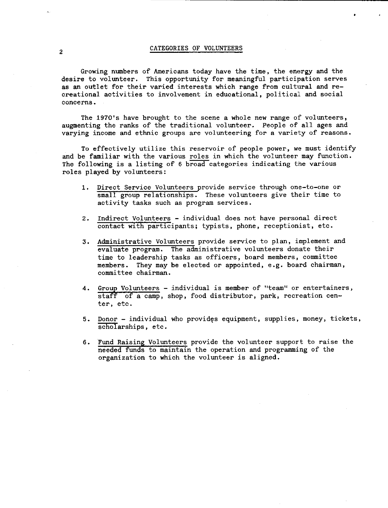# 2 CATEGORIES OF VOLUNTEERS

Growing numbers of Americans today have the time, the energy and the desire to volunteer. This opportunity for meaningful participation serves This opportunity for meaningful participation serves as an outlet for their varied interests which range from cultural and recreational activities to involvement in educational, political and social **concerns.** 

The 197O's have brought to the scene a whole new range of volunteers, augmenting the ranks of the traditional volunteer. People of all ages and varying income and ethnic groups are volunteering for a variety of reasons.

To effectively utilize this reservoir of people power, we must identify and be familiar with the various roles in which the volunteer may function. The following is a listing of 6 broad categories indicating the various roles played by volunteers:

- 1. Direct Service Volunteers provide service through one-to-one or small group relationships. These volunteers give their time to activity tasks such as program services.
- 2. Indirect Volunteers individual does not have personal direct contact with participants; typists, phone, receptionist, etc.
- 3. Administrative Volunteers provide service to plan, implement and evaluate program. The administrative volunteers donate their time to leadership tasks as officers, board members, committee members. They may be elected or appointed, e.g. board chairman, committee chairman.
- 4. Group Volunteers individual is member of "team" or entertainers, staff of a camp, shop, food distributor, park, recreation center, etc.
- 5. Donor individual who provides equipment, supplies, money, tickets, scholarships, etc.
- 6. Fund Raising Volunteers provide the volunteer support to raise the needed funds to maintain the operation and programming of the organization to which the volunteer is aligned.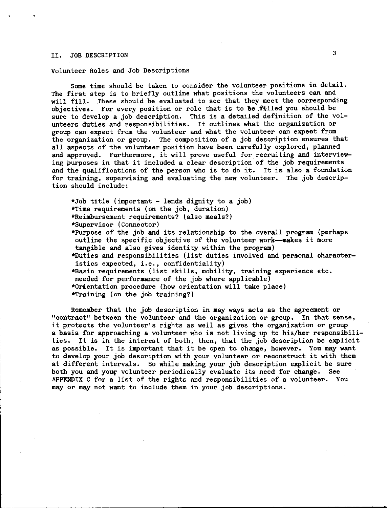# II. JOB DESCRIPTION <sup>3</sup>

Volunteer Roles and Job Descriptions

Some time should be taken to consider the volunteer positions in detail. The first step is to briefly outline what positions the volunteers can and will fill. These should be evaluated to see that they meet the corresponding objectives. For every position or role that is to *be* .filled you should be sure to develop a job description. This is a detailed definition of the volunteers duties and responsibilities. It outlines what the organization or group can expect from the volunteer and what the volunteer can expect from the organization or group. The composition of a job description ensures that all aspects of the volunteer position have been carefully explored, planned and approved. Furthermore, it will prove useful for recruiting and interviewing purposes in that it included a clear description of the job requirements and the qualifications of the person who is to do it. It is also a foundation for training, supervising and evaluating the new volunteer. The job description should include:

\*Job title (important - lends dignity to **a** job) \*Time requirements (on the job, duration) \*Reimbursement requirements? (also meals?) \*Supervisor (Connector) \*Purpose of the job **and** its relationship to the overall program (perhaps

outline the specific objective of the volunteer work--makes it more tangible and also gives identity within the program)

\*Duties and responsibilities (list duties involved and personal characteristics expected, i.e., confidentiality)

\*Basic requirements (list skills, mobility, training experience etc. needed for performance of the job where applicable)

\*Orientation procedure (how orientation will take place)

\*Training (on the job training?)

Remember that the job description in may ways acts as the agreement or "contract" between the volunteer and the organization or group. In that sense, it protects the volunteer's rights as well as gives the organization or group a basis for approaching a volunteer who is not living up to his/her responsibilities. It is in the interest of both, then, that the job description be explicit as possible. It is important that it be open to change, however. You may want to develop your job description with your volunteer or reconstruct it with them at different intervals. So while making your job description explicit be sure both you and your volunteer periodically evaluate its need for change. See APPENDIX C for a list of the rights and responsibilities of a volunteer. You may or may not want to include them in your job descriptions.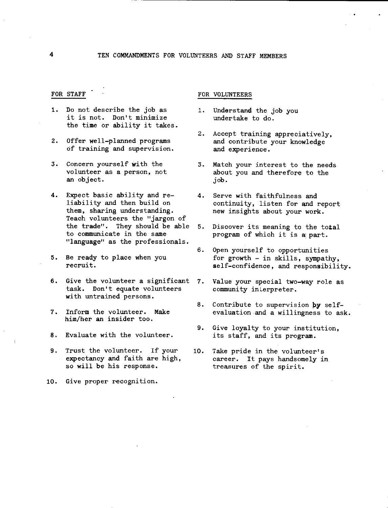- FOR STAFF
- 1. Do not describe the job as it is not. Don't minimize the time or ability it takes.
- 2. Offer well-planned programs of training and supervision.
- 3. Concern yourself with the volunteer as a person, not an object.
- 4. Expect basic ability and re- 4. Serve with faithfulness and liability and then build on them, sharing understanding. Teach volunteers the "jargon of the trade". They should be able 5. to communicate in the same "language" as the professionals.
- 5. Be ready to place when you recruit.
- 6. Give the volunteer a significant 7. task. Don't equate volunteers with untrained persons.
- 7. Inform the volunteer. Make him/her **an** insider too.
- 8. Evaluate with the volunteer.
- 9. Trust the volunteer. If your expectancy and faith are high, so will be his response.
- 10. Give proper recognition.

### FOR VOLUNTEERS

- 1. Understand the job you undertake to do.
- 2. Accept training appreciatively, and contribute your knowledge and experience.
- 3. Match your interest to the needs about you and therefore to the job.
- continuity, listen for and report new insights about your work.
- Discover its meaning to the total program of which it is a part.
- 6. Open yourself to opportunities for growth  $-$  in skills, sympathy, self-confidence, and responsibility.
- Value your special two-way role as community inLerpreter.
- 8. Contribute to supervision **py** selfevaluation and a willingness to ask.
- 9. Give loyalty to your institution, its staff, and its program.
- 10. Take pride in the volunteer's career. It pays handsomely in treasures of the spirit.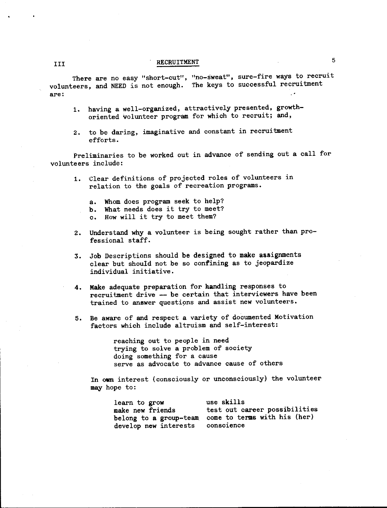There are no easy "short-cut", "no-sweat", sure-fire ways to recrui volunteers, and NEED is not enough. The keys to successful recruitment **are:** 

- 1. having a well-organized, attractively presented, growthoriented volunteer program for which to recruit; and,
- 2. to be daring, imaginative and constant in recruitment efforts.

Preliminaries to be worked out in advance of sending out a call for volunteers include:

- 1. Clear definitions of projected roles of volunteers in relation to the goals of recreation programs.
	- a. Whom does program seek to help?
	- b. What needs does it try to meet?
	- c. How will it try to meet them?
- 2. Understand **why** a volunteer is being sought rather than professional staff.
- 3. Job Descriptions should be designed to make assignments clear but should not be so confining as to jeopardize individual initiative.
- 4. Make adequate preparation for handling responses to recruitment drive -- be certain that interviewers have been trained to answer questipns and assist new volunteers.
- 5. Be aware of and respect a variety of documented Motivation factors which include altruism and self-interest:

reaching out to people in need trying to solve a problem of society doing something for a cause serve as advocate to advance cause of others

In own interest (consciously or unconsciously) the volunteer may hope to:

| learn to grow                    | use skills                                          |
|----------------------------------|-----------------------------------------------------|
| make new friends                 | test out career possibilities                       |
|                                  | belong to a group-team come to terms with his (her) |
| develop new interests conscience |                                                     |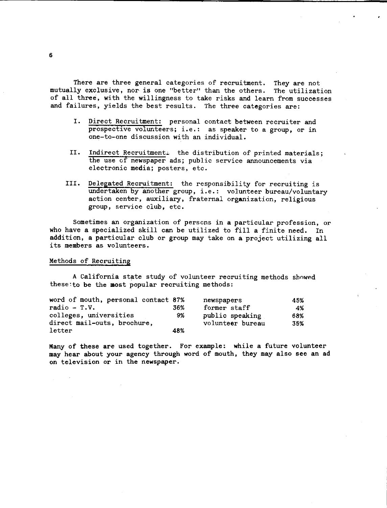There are three general categories of recruitment. They are not mutually exclusive, nor is one "better" than the others. The utilization of all three, with the willingness to take risks and learn from successes and failures, yields the best results. The three categories are:

- I. Direct Recruitment: personal contact between recruiter and prospective volunteers; i.e.: as speaker to a group, or in one-to-one discussion with an individua
- II. Indirect Recruitment: the distribution of printed materials; the use of newspaper ads; public service announcements via electronic media; posters, etc.
- III. Delegated Recruitment: the responsibility for recruiting is undertaken by another group, i.e.: volunteer bureau/voluntary action center, auxiliary, fraternal organization, religious group, service club, etc.

Sometimes an organization of persons in **a** particular profession, or who have **a** specialized skill can be utilized to fill a finite need. In addition, a particular club or group may take on **a** project utilizing all its members as volunteers.

#### Methods of Recruiting

A California state study of volunteer recruiting methods shnwed these:to be the **most** popular recruiting methods:

| word of mouth, personal contact 87% |     | newspapers       | 45% |
|-------------------------------------|-----|------------------|-----|
| $radio - T.V.$                      | 36% | former staff     | 4%  |
| colleges, universities              | 9%  | public speaking  | 68% |
| direct mail-outs, brochure,         |     | volunteer bureau | 35% |
| letter                              | 48% |                  |     |

Many of these are used together. For example: while a future volunteer may hear about your agency through word of mouth, they may also see an ad on television or in the newspaper.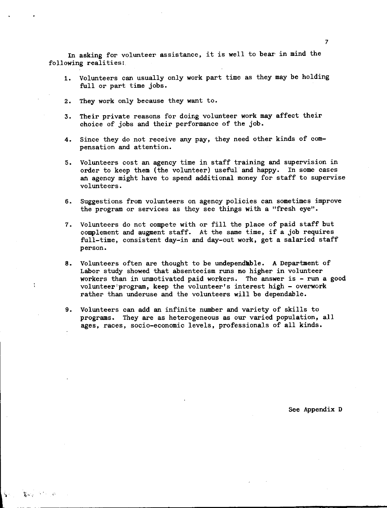In asking for volunteer assistance, it is well to bear in mind the following realities:

- 1. Volunteers can usually only work part time as they may be holding full or part time jobs.
- 2. They work only because they want to.

 $\sum_{i=1}^n \sum_{i=1}^n \sum_{j=1}^n \sum_{j=1}^n \sum_{j=1}^n \sum_{j=1}^n \sum_{j=1}^n \sum_{j=1}^n \sum_{j=1}^n \sum_{j=1}^n \sum_{j=1}^n \sum_{j=1}^n \sum_{j=1}^n \sum_{j=1}^n \sum_{j=1}^n \sum_{j=1}^n \sum_{j=1}^n \sum_{j=1}^n \sum_{j=1}^n \sum_{j=1}^n \sum_{j=1}^n \sum_{j=1}^n \sum_{j=1}^n \sum_{j=1}^n \sum_{j$ 

- 3. Their private reasons for doing volunteer work may affect their choice of jobs and their performance of the job.
- 4. Since they do not receive any pay, they need other kinds of compensation and attention.
- 5. Volunteers cost an agency time in staff training and supervision in order to keep them (the volunteer) useful and happy. In some cases an agency might have to spend additional money for staff to supervise volunteers.
- 6. Suggestions from volunteers on agency policies can sometimes improve the program or services as they see things with a "fresh eye".
- 7. Volunteers do not compete with or fill the place of paid staff but complement and augment staff. At the same time, if a job requires full-time, consistent day-in and day-out work, get a salaried staff person.
- **8.** Volunteers often are thought to be undependable. A Department of Labor study showed that absenteeism runs **no** higher in volunteer workers than in unmotivated paid workers. The answer is - run a good volunteer'program, keep the volunteer's interest high - overwork rather than underuse and the volunteers will be dependable.
- 9. Volunteers can add an infinite number and variety of skills to programs. They are as heterogeneous as our varied population, all ages, races, socio-economic levels, professionals of all kinds.

See Appendix D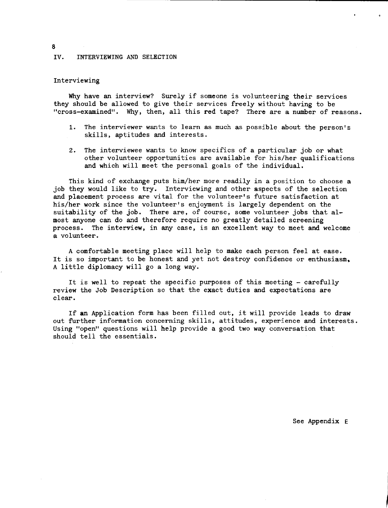#### IV. INTERVIEWING AND SELECTION

#### Interviewing

Why have an interview? Surely if someone is volunteering their services they should be allowed to give their services freely without having to be "cross-examined". Why, then, all this **red** tape? There are a number of reasons.

- 1. The interviewer wants to learn as much as possible about the person's skills, aptitudes and interests.
- 2. The interviewee wants to know specifics of a particular job or what other volunteer opportunities are available for his/her qualifications and which will meet the personal goals of the individual.

This kind of exchange puts him/her more readily in a position to choose a job they would like to try. Interviewing and other aspects of the selection and placement process are vital for the volunteer's future satisfaction at his/her work since the volunteer's enjoyment is largely dependent on the suitability of the job. There are, of course, some volunteer jobs that almost anyone can do and therefore require no greatly detailed screening process. The interview, in any case, is an excellent way to meet and welcome a volunteer.

A comfortable meeting place will help to make each person feel at ease. It is so important to be honest and yet not destroy confidence or enthusiasm, A little diplomacy will go a long way.

It is well to repeat the specific purposes of this meeting - carefully review the Job Description so that the exact duties and expectations are clear.

If an Application form has been filled out, it will provide leads to draw out further information concerning skills, attitudes, experience and interests. Using "open" questions will help provide a good two way conversation that should tell the essentials.

8

See Appendix E

I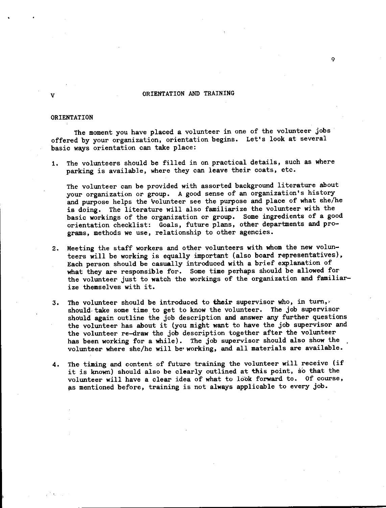### V CONSERVATION AND TRAINING

9

#### ORIENTATION

The moment you have placed a volunteer in one of the volunteer jobs offered by your organization, orientation begins. Let's look at several basic ways orientation can take place:

1. The volunteers should be filled in on practical details, such as where parking is available, where they can leave their coats, etc.

The volunteer can be provided with assorted background literature about your organization or group. A good sense of an organization's history and purpose helps the 'volunteer see the purpose and place of what she/he is doing. The literature will also familiarize the volunteer with the basic workings of the 01•ganization or group. Some ingredients of **a** good orientation checklist: Goals, future plans, other departments and programs, methods we use, relationship to other agencies.

- 2. Meeting the staff workers and other volunteers with whom the **new** volunteers will be working is equally important (also board representatives), Each person should be casually introduced with a brief explanation of what they are responsible for. Some time perhaps should be allowed for the volunteer just to watch the workings of the organization and familiarize themselves with it.
- 3. The volunteer should be introduced to **their** supervisor who, in tum,, should, take some time to get to know the volunteer. The job supervisor should **again** outline the job description and answer any further questions the volunteer has about it (you might want to have the job supervisor and the volunteer re-draw the job description together after the volunteer has been working for a while). The job supervisor should also show the volunteer where she/he will be• working, and all materials are available.
- **4.** The timing and content of future training the volunteer will receive (if it is known) should also be clearly outlined at this point, so that the volunteer will have a clear idea of what to look forward to. Of course, as mentioned before, training is not always applicable to every job.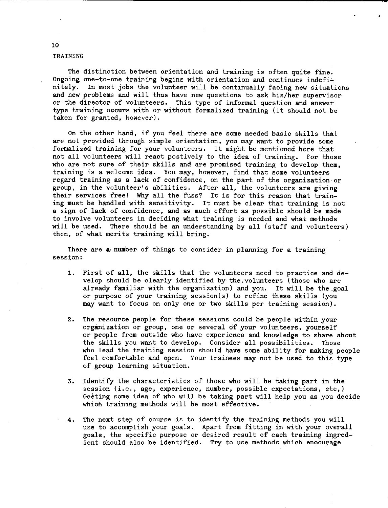#### TRAINING

The distinction between orientation and training is often quite fine. Ongoing one-to-one training begins with orientation and continues indefinitely. In most jobs the volunteer will be continually facing new situations and new problems and will thus have new questions to ask his/her supervisor or the director of volunteers. This type of informal question **and answer**  type training occurs with or without formalized training (it should not be taken for granted, however),

On the other hand, if you feel there are some needed basic skills that are not provided through simple orientation, you may want to provide some formalized training for your volunteers, It might be mentioned here that not all volunteers will react postively to the idea of training. For those who are not sure of their skills and are promised training to develop them, training is a welcome idea. You may, however, find that some volunteers regard training as a lack of confidence, on the part of the organization or group, in the volunteer's abilities. After all, the volunteers are giving their services free! Why all the fuss? It is for this reason that training must be handled with sensitivity. It must be clear that training is not **a** sign of lack of confidence, and as much effort as possible should be made to involve volunteers in deciding what training is needed and what methods will be used. There should be an understanding by all (staff and volunteers) then, of what merits training will bring.

There are **a,number** of things to consider in planning for a training session:

- 1. First of all, the skills that the volunteers need to practice and develop should be clearly identified by the.volunteers (those who are already familiar with the organization) and you. It will be the.goal or purpose of your training session(s) to refine **these** skills (you may want to focus on only one or two skills per training session).
- 2. The resource people for these sessions could be people within your organization or group, one or several of your volunteers, yourself or people from outside who have experience and knowledge to share about the skills you want to develop. Consider all possibilities. Those who lead the training session should **have** some ability for making people feel comfortable and open. Your trainees may not be used to this type of group learning situation.
- 3, Identify the characteristics of those who will be taking part in the session (i.e., age, experience, number, possible expectations, etc,) Geeting some idea of who will be taking part will help you as you decide which training methods will be most effective.
- 4, The next step of course is to identify the training methods you will use to accomplish your goals. Apart from fitting in with your overall goals, the specific purpose or desired result of each training ingredient should also be identified. Try to use methods which encourage

#### 10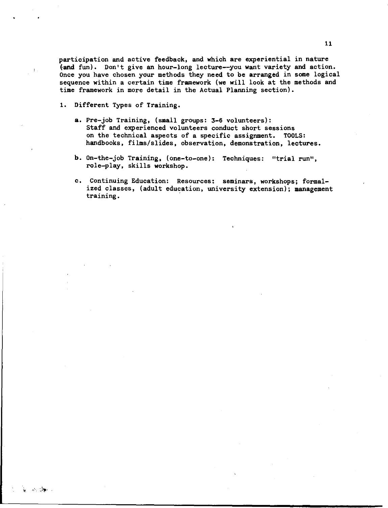participation and active feedback, and which are experiential in nature fand fun). Don't give an hour-long lecture--you want variety and action. Once you have chosen your methods they need to be arranged in some logical sequence within a certain time framework (we will look at the methods and time framework in more detail in the Actual Planning section).

1. Different Types of Training.

i aka SMarin

- a. Pre-job Training, (small groups: 3-6 volunteers): Staff and experienced volunteers conduct short sessions on the technical aspects of a specific assignment. TOOLS: handbooks, films/slides, observation, demonstration, lectures.
- b. On-the-job Training, (one-to-one): Techniques: "trial run", role-play, skills workshop.
- c. Continuing Education: Resources: seminars, workshops; formalized classes, (adult education, university extension); management training. ·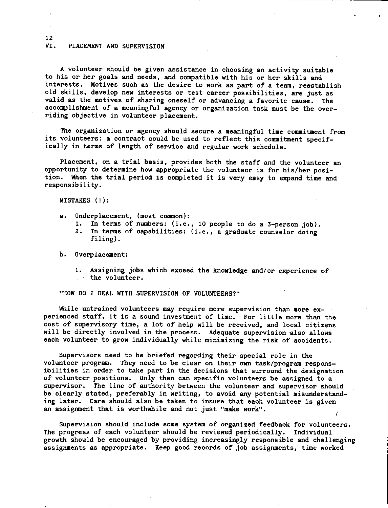#### VI. PLACEMENT AND SUPERVISION

A volunteer should be given assistance in choosing an activity suitable to his or her goals and needs, and compatible with his or her skills and interests. Motives such as the desire to work as part of a team, reestablish old skills, develop new interests or test career possibilities, are just as valid as the motives of sharing oneself or advancing a favorite cause. The accomplishment of a meaningful agency or organization task must be the overriding objective in volunteer placement.

The organization or agency should secure a meaningful time commitment from its volunteers: a contract could be used to reflect this commitment specifically in terms of length of service and regular work schedule.

Placement, on a trial basis, provides both the staff and the volunteer an opportunity to determine how appropriate the volunteer is for his/her position. When the trial period is completed it is very easy to expand time and responsibility.

MISTAKES(!):

- a. Underplacement, (most common):
	-
	- 1. In terms of numbers: (i.e., 10 people to do a 3-person job).<br>2. In terms of capabilities: (i.e., a graduate counselor doing In terms of capabilities: (i.e., a graduate counselor doing filing).

b. Overplacement:

1. Assigning jobs which exceed the knowledge and/or experience of  $\cdot$  the volunteer.

"HOW DO I DEAL WITH SUPERVISION OF VOLUNTEERS?"

While untrained volunteers **may** require more supervision than more experienced staff, it is a sound investment of time. For little more than the cost of supervisory time, **a** lot of help will be received, and local citizens will be directly involved in the process. Adequate supervision also allows each volunteer to **grow** individually while minimizing the risk of accidents.

Supervisors need to be briefed regarding their special role in the volunteer program. They need to be clear on their own task/program responsibilities in order to take part in the decisions that surround the designation of volunteer positions. Only then can specific volunteers be assigned to **a**  supervisor. The line of authority between the volunteer and supervisor should be clearly stated, preferably in writing, to avoid any potential misunderstanding later. Care should also be taken to insure that each volunteer is given an assignment that is worthwhile and not just **"make** work".

Supervision should include some system of organized feedback for volunteers. The progress of each volunteer should be reviewed periodically. Individual growth should be encouraged by providing increasingly responsible and challenging assignments as appropriate. Keep good records of job assignments, time worked

12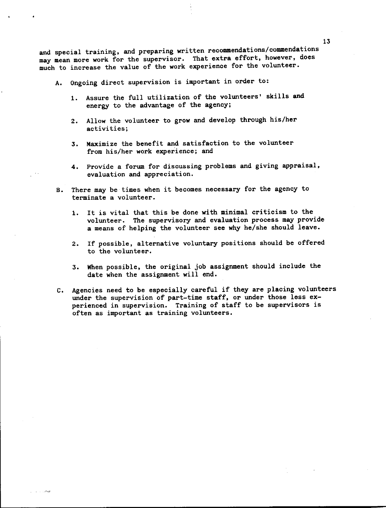and special training, and preparing written recommendations/commendations may mean more work for the supervisor. That extra effort, however, does much to increase the value of the work experience for the volunteer.

- A. Ongoing direct supervision is important in order to:
	- 1. Assure the full utilization of the volunteers' skills **and**  energy to the advantage of the agency;
	- 2. Allow the volunteer to grow and develop through his/her activities;
	- 3. Maximize the benefit and satisfaction to the volunteer from his/her work experience; and
	- 4. Provide a forum for discussing problems and giving appraisal, evaluation and appreciation.
- B. There may be times when it becomes necessary for the agency to terminate a volunteer.
	- 1. It is vital that this be done with minimal criticism to the volunteer. The supervisory and evaluation process may provide a means of helping the volunteer see why he/she should leave.
	- 2. If possible, alternative voluntary positions should be offered to the volunteer.
	- 3. When possible, the original job assignment should include the date when the assignment will end.
- C. Agencies need to be especially careful if they are placing volunteers under the supervision of part-time staff, or under those less experienced in supervision. Training of staff to be supervisors is often as important as training volunteers.

فوقت الدائد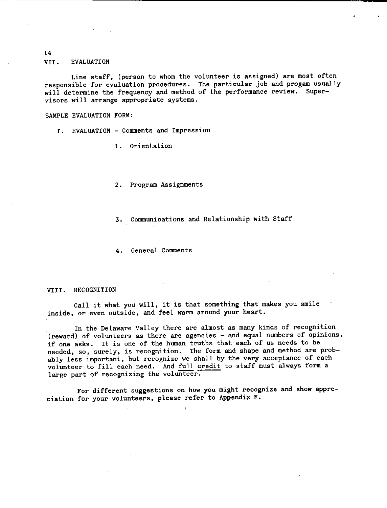VII. EVALUATION

Line staff, (person to whom the volunteer is assigned) are most often responsible for evaluation procedures. The particular job and progam usuall will determine the frequency and method of the performance review. Supervisors will arrange appropriate systems.

SAMPLE EVALUATION FORM:

I. EVALUATION - Comments and Impression

l. Orientation

2. Program Assignments

3. Communications and Relationship with Staff

4. General Comments

#### VIII. RECOGNITION

Call it what you will, it is that something that makes you smile inside, or even outside, and feel warm around your heart.

In the Delaware Valley there are almost as many kinds of recognition (reward) of volunteers as there are agencies - and equal numbers of opinions, if one asks. It is one of the human truths that each of us needs to be needed, so, surely, is recognition. The form and shape and method are probably less important, but recognize we shall by the very acceptance of each volunteer to fill each need. And full credit to staff must always form a large part of recognizing the volunteer.

For different suggestions on how you might recognize and show appreciation for your volunteers, please refer to Appendix F.

14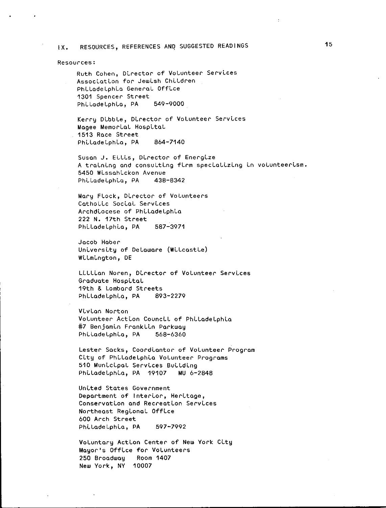# IX. RESOURCES, REFERENCES ANQ SUGGESTED READINGS

#### **Resources:**

Ruth Cohen, Director of Volunteer Services Association for Jewish Children PhLLadeLphLa GeneraL OffLce 1301 Spencer Street PhLLadeLphLa, PA 549-9000

Kerry DLbbLe, DLrector of VoLunteer ServLces Magee Memorial Hospital 1513 Race Street Philadelphia, PA 864-7140

Susan J. Ellis, Director of Energize A training and consulting firm specializing in volunteerism. 5450 Wissahickon Avenue<br>Philadelphia, PA 438–8342 Philadelphia, PA

Mary FLock, DLrector of VoLunteers Catholic Social Services ArchdLocese of PhLLadeLphLa 222 N. 17th Street Philadelphia, PA 587-3971

Jacob Haber University of Delaware (Wilcastle) WLLmLngton, OE

Littian Noren, Director of Volunteer Services Graduate HospLtaL 19th & Lombard Streets PhLLadeLphLa, PA 893-2279

VLvLan Norton Volunteer Action Council of Philadelphia t7 BenjamLn FrankLLn Parkway Philadelphia, PA 568-6360

Lester Sacks, Coordiantor of Volunteer Program City of Philadelphia Volunteer Programs 510 MunLcLpaL ServLces BuLLdLng Philadelphia, PA 19107 MU 6-2848

United States Government Department of Interior, Heritage, Conservation and Recreation Services Northeast RegLonaL OffLce 600 Arch Street Philadelphia, PA 597-7992

Voluntary Action Center of New York City Mayor's Office for Volunteers 250 Broadway Room 1407 New York, NY 10007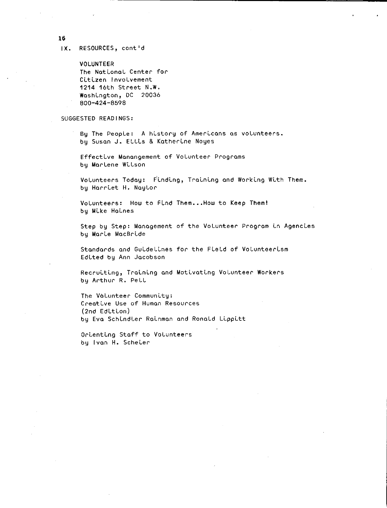**16** 

**IX.** RESOURCES, cont'd

VOLUNTEER The NotLonol Center *for*  Citizen Involvement 1214 16th Street N.W, WoshLngton, DC 20036 800-424-8598

#### SUGGESTED READINGS:

Bu The People: A history of Americans as volunteers. by Susan J. Ellis & Katherine Noyes

Effective Manangement of Volunteer Programs by Marlene WLlson

Volunteers Today: Finding, Training and Working With Them. by HorrLet H. Naylor

Volunteers: How to Find Them... How to Keep Them! by MLke HoLnes

Step by Step: Management of the Volunteer Program in Agencies by MorLe MocBrLde

Standards and Guidelines for the Field of Volunteerism EdLted by Ann Jacobson

Recruiting, Training and Motivating Volunteer Workers by Arthur R, Pell

The Volunteer Community: Creative Use of Human Resources (2nd Edition) by Eva Schindler Rainman and Ronald Lippitt

OrLentLng Stoff to Volunteers by Ivon H. ScheLer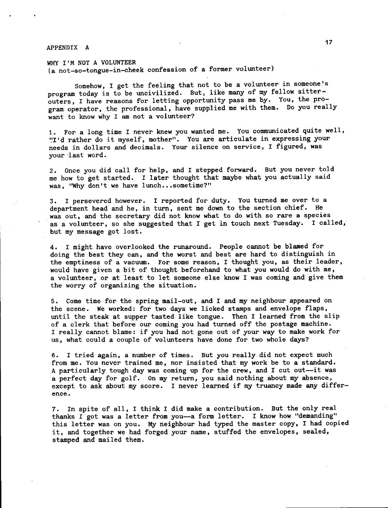# APPENDIX A 2008 and 2008 and 2008 and 2008 and 2008 and 2008 and 2008 and 2008 and 2008 and 2008 and 2008 and

WHY I'M NOT A VOLUNTEER (a not-so-tongue-in-cheek confession of a former volunteer)

Somehow, I get the feeling that not to be a volunteer in someone's program today is to be uncivilized. But, like many of my fellow sitterouters, I have reasons for letting opportunity pass me by. You, the program operator, the professional, have supplied me with them. Do you really want to know why I am not a volunteer?

1. For a long time I never knew you wanted me. You communicated quite well, "I'd rather do it myself, mother". You are articulate in expressing your needs in dollars and decimals. Your silence on service, I figured, was your ·last word.

2. Once you did call for help, and I stepped forward. But you never told me how to get started. I later thought that maybe what you actually said was. "Why don't we have lunch...sometime?"

3. I persevered however. I reported for duty. You turned me over to a department head and he, in turn, sent me down to the section chief. He was out, and the secretary did not know what to do with so rare a species as a volunteer, so she suggested that I get in touch next Tuesday. I called, but my message got lost.

4. I might have overlooked the runaround. People cannot be blamed for doing the best they can, and the worst and best are hard to distinguish in the emptiness of a vacuum. For some reason, I thought you, as their leader, would have given a bit of thought beforehand to what you would do with me, a volunteer, or at least to let someone else know I was coming and give them the worry of organizing the situation.

5. Come time for the spring mail-out, and I and my neighbour appeared on the scene. We worked: for two days we licked stamps and envelope flaps, until the steak at supper tasted like tongue. Then I learned from the slip of a clerk that before our coming you had turned off the postage machine. I really cannot blame: if you had not gone out of your way to make work for us, what could a couple of volunteers have done for two whole days?

6. I tried again, a number of times. But you really did not expect much from me. You never trained me, nor insisted that my work be to a standard. A particularly tough day was coming up for the crew, and I cut out-it was a perfect day for golf. On my return, you said nothing about my absence, except to ask about my score. I never learned if my truancy made any differ**ence.** 

7. In spite of all, I think I did make a contribution. But the only real thanks I got was a letter from you--a form letter. I know how "demanding" this letter was on you. My neighbour had typed the master copy, I had copied it, and together we had forged your name, stuffed the envelopes, sealed, stamped and mailed them.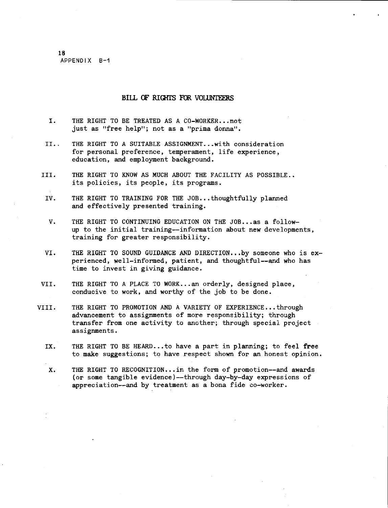18 APPENDIX B-1

### BILL OF RIGHTS FOR VOLUNTEERS

- I. THE RIGHT TO BE TREATED AS A CO-WORKER... not **just as 11free help"; not as a 11prima donna".**
- II.. THE RIGHT TO A SUITABLE ASSIGNMENT... with consideration for personal preference, temperament, life experience, education, and employment background.
- III. THE RIGHT TO KNOW AS MUCH ABOUT THE FACILITY AS POSSIBLE.. its policies, its people, its programs.
- IV. THE RIGHT TO TRAINING FOR THE JOB...thoughtfully planned and effectively presented training.
- V. THE RIGHT TO CONTINUING EDUCATION ON THE JOB... as a followup to the initial training--information about **new** developments, training for greater responsibility.
- VI. THE RIGHT TO SOUND GUIDANCE AND DIRECTION...by someone who is  $ex$ perienced, well-informed, patient, and thoughtful--and who has time to invest in giving guidance.
- VII. THE RIGHT TO A PLACE TO WORK...an orderly, designed place, conducive to work, and worthy of the job to be done.
- VIII. THE RIGHT TO PROMOTION AND A VARIETY OF EXPERIENCE... through advancement to assignments of more responsibility; through transfer from one activity to another; through special project assignments.
	- IX. THE RIGHT TO BE HEARD...to have a part in planning; to feel free to make suggestions; to have respect shown for an honest opinion.

X. THE RIGHT TO RECOGNITION... in the form of promotion--and awards (or some tangible evidence)--through day-by-day expressions of appreciation--and by treatment as a bona fide co-worker.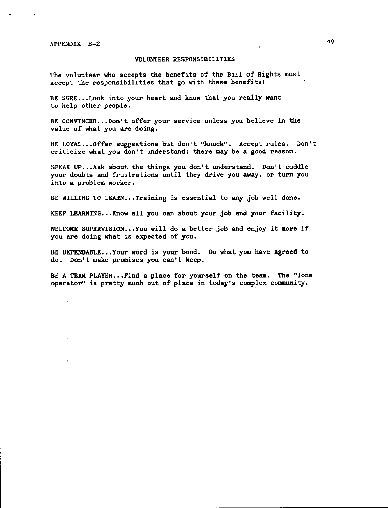APPENDIX B-2

#### VOLUNTEER RESPONSIBILITIES

The volunteer who accepts the benefits of the Bill of Rights must accept the responsibilities that go with these benefits!

BE SURE...Look into your heart and know that you really want to help other people.

BE CONVINCED...Don't offer your service unless you believe in the value of what you are doing.

BE LOYAL ••• Offer suggestions but don't "knock". Accept rules. Don't criticize **what** you don't understand; there may be a good reason.

SPEAK UP...Ask about the things you don't understand. Don't coddle your doubts and frustrations until they drive you **away,** or turn you into **a** problem worker.

BE WILLING TO LEARN...Training is essential to any job well done.

KEEP LEARNING... Know all you can about your job and your facility.

WELCOME SUPERVISION ••• You will do **a** better job and enjoy it **more** if you are doing what is expected of you.

BE DEPENDABLE...Your word is your bond. Do what you have agreed to do. Don't make promises you can't keep.

BE A TEAM PLAYER...Find a place for yourself on the team. The "lone operator" is pretty much out of place in today's comp\_lex community.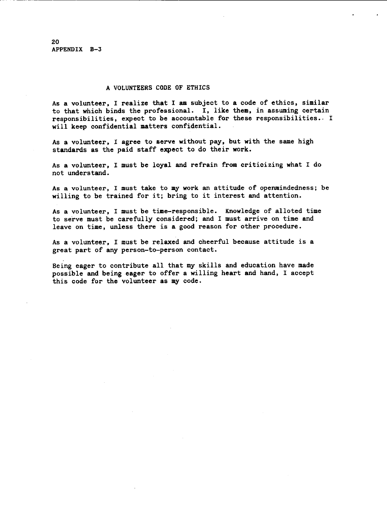20 APPENDIX B-3

## A VOLUNTEERS CODE OF ETHICS

As a volunteer, I realize that I **am** subject to **a** code of ethics, similar to that which binds the professional. I, like **them,** in assuming certain responsibilities, expect to be accountable for these responsibilities. I will keep confidential matters confidential.

As a volunteer, I agree to serve without pay, but with the same high standards as the paid staff expect to do their work.

As a volunteer, I must be loyal and refrain from criticizing what I do not understand.

As a volunteer, I must take to my work an attitude of openmindedness; be willing to be trained for it; bring to it interest and attention.

As a volunteer, I must be time-responsible. Knowledge of alloted time to serve must be carefully considered; and I must arrive on time and leave on time, unless there is **a** good reason for other procedure.

As a volunteer, I must be relaxed and cheerful because attitude is a great part of any person-to-person contact.

Being eager to contribute all that my skills and education have made possible and being eager to offer a willing heart and hand, I accept this code for the volunteer as my code.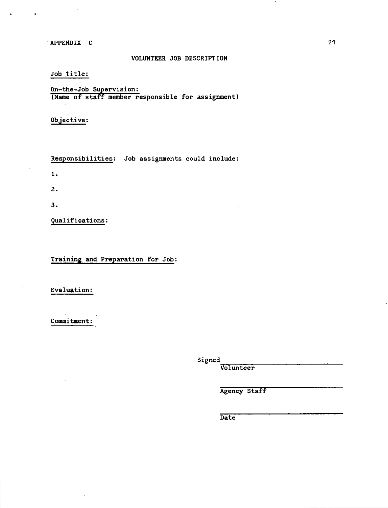·APPENDIX C 21

## VOLUNTEER JOB DESCRIPTION

Job Title:

<u>On-the-Job Supervisio</u> (Name of staff member responsible for assignment

Objective:

Responsibilities: Job assignments could include: L 2.

 $3.$ 

Qualifications:

Training and Preparation for Job:

Evaluation:

Commitment:

Signed<br>
Volunteer

Agency Staff

Date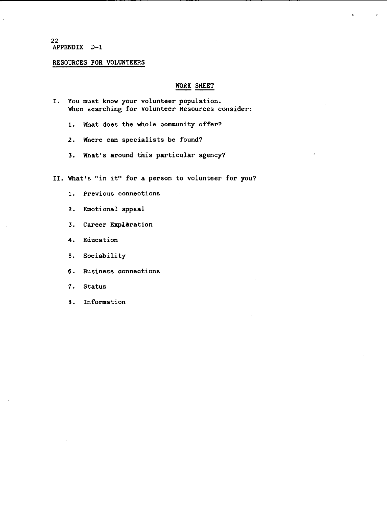#### 22 APPENDIX D-1

# RESOURCES FOR VOLUNTEERS

## WORK SHEET

- I, You must know your volunteer population. When searching for Volunteer Resources consider:
	- 1. What does the whole community offer?
	- 2, Where can specialists be found?
	- 3, What's around this particular agency?

II. What's "in it" for **a** person to volunteer for you?

- 1. Previous connections
- 2, Emotional appeal
- 3. Career **Expleration**
- **4.** Education
- 5. Sociability
- 6. Business connections
- 7, Status
- 8. Information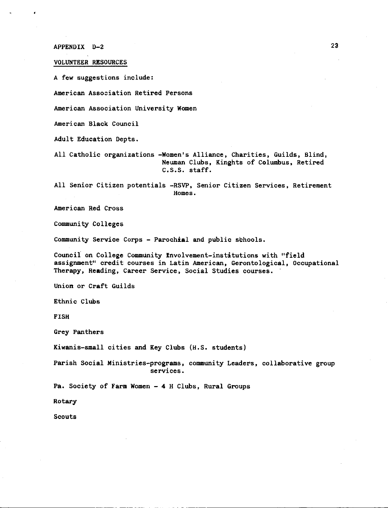APPENDIX D-2

#### VOLUNTEER RESOURCES

A few suggestions include:

American Association Retired Persons

American Association University Women

American Black Council

Adult Education Oepts.

All Catholic organizations **-Women's** Alliance, Charities, Guilds, Blind, Neuman Clubs, Kinghts of Columbus, Retired c.s.s. staff.

All Senior Citizen potentials -RSVP, Senior Citizen Services, Retirement Homes.

American Red Cross

Community Colleges

Community **Service** Corps - Parochial and public schools.

Council on College Community Involvement-institutions with "field assignment" credit courses in Latin American, Gerontological, Occupational Therapy, **Reading,** Career Service, Social Studies courses.

Union or Craft Guilds

Ethnic Clubs

FISH

Grey Panthers

Kiwanis-small cities and Key Clubs (H.S. students)

Parish Social Ministries-programs, community Leaders, collaborative group services.

**Pa.** Society of **Farm Women** - **4** H Clubs, Rural Groups

Rotary

Scouts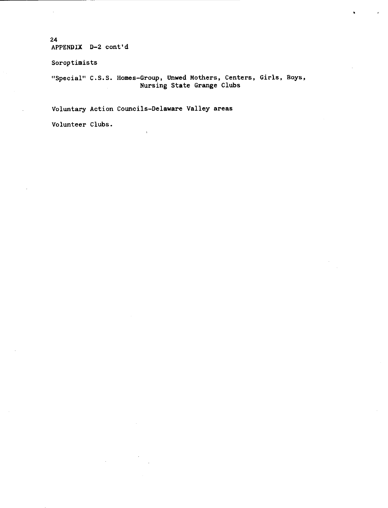24 APPENDIX D-2 cont'd

**Soroptimists** 

"Special" C.S.S. Homes-Group, Unwed Mothers, Centers, Girls, Boys, Nursing State Grange Clubs

Voluntary Action Councils-Delaware Valley areas

Volunteer Clubs.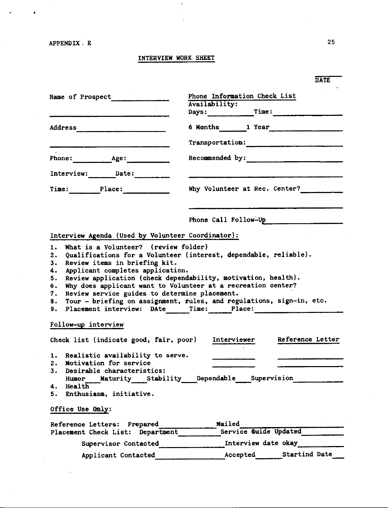$\sim 10^7$ 

 $\bar{z}$ 

 $\hat{\pmb{\epsilon}}$ 

 $\hat{\mathbf{z}}$ 

# INTERVIEW WORK SHEET

 $\boldsymbol{V}$  $\pm$ 

|                                                                                                                                                                                                                                                                                                                                                                                                                                                                                               | <b>DATE</b>                               |  |  |  |
|-----------------------------------------------------------------------------------------------------------------------------------------------------------------------------------------------------------------------------------------------------------------------------------------------------------------------------------------------------------------------------------------------------------------------------------------------------------------------------------------------|-------------------------------------------|--|--|--|
| Name of Prospect                                                                                                                                                                                                                                                                                                                                                                                                                                                                              | Phone Information Check List              |  |  |  |
|                                                                                                                                                                                                                                                                                                                                                                                                                                                                                               | Availability:<br>Days: Time: Time:        |  |  |  |
|                                                                                                                                                                                                                                                                                                                                                                                                                                                                                               | 6 Months 1 Year                           |  |  |  |
| <u> 2000 - Jan Barat, amerikan di sebagai pendadaran pengaran pertama dan pertama di sebagai pendadan pertama dan</u>                                                                                                                                                                                                                                                                                                                                                                         | Transportation:                           |  |  |  |
|                                                                                                                                                                                                                                                                                                                                                                                                                                                                                               | Recommended by:                           |  |  |  |
|                                                                                                                                                                                                                                                                                                                                                                                                                                                                                               |                                           |  |  |  |
| Time: Place:                                                                                                                                                                                                                                                                                                                                                                                                                                                                                  | Why Volunteer at Rec. Center?             |  |  |  |
|                                                                                                                                                                                                                                                                                                                                                                                                                                                                                               | Phone Call Follow-Up Phone Call Follow-Up |  |  |  |
| Interview Agenda (Used by Volunteer Coordinator):                                                                                                                                                                                                                                                                                                                                                                                                                                             |                                           |  |  |  |
| What is a Volunteer? (review folder)<br>1.<br>Qualifications for a Volunteer (interest, dependable, reliable).<br>2.<br>Review items in briefing kit.<br>3.<br>Applicant completes application.<br>4.<br>Review application (check dependability, motivation, health).<br>5.<br>Why does applicant want to Volunteer at a recreation center?<br>6.<br>Review service guides to determine placement.<br>7.<br>Tour - briefing on assignment, rules, and regulations, sign-in, etc.<br>8.<br>9. |                                           |  |  |  |
| Follow-up interview                                                                                                                                                                                                                                                                                                                                                                                                                                                                           |                                           |  |  |  |
| Check list (indicate good, fair, poor) Interviewer                                                                                                                                                                                                                                                                                                                                                                                                                                            | Reference Letter                          |  |  |  |
| 1. Realistic availability to serve.<br>2. Motivation for service<br>3. Desirable characteristics:<br>Humor Maturity Stability Dependable Supervision<br>4. Health<br>5. Enthusiasm, initiative.                                                                                                                                                                                                                                                                                               |                                           |  |  |  |
| Office Use Only:                                                                                                                                                                                                                                                                                                                                                                                                                                                                              |                                           |  |  |  |
| Reference Letters: Prepared<br>Placement Check List: Department                                                                                                                                                                                                                                                                                                                                                                                                                               | Mailed<br>Service Guide Updated           |  |  |  |
| Supervisor Contacted                                                                                                                                                                                                                                                                                                                                                                                                                                                                          | Interview date okay                       |  |  |  |
| Applicant Contacted                                                                                                                                                                                                                                                                                                                                                                                                                                                                           | Accepted Startind Date                    |  |  |  |

 $\bar{z}$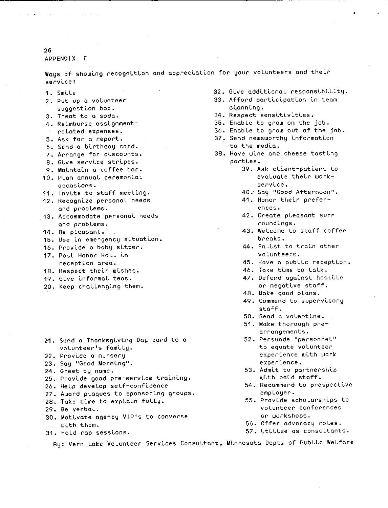**26** 

APPENDIX F

Ways of showing recognition and appreclation for your volunteers and their **servLce:** 

- 1. Smile
- 2. Put up a volunteer suggestion box.
- 3. Treat to a soda.
- **4. ReLmburse assLgnment-**
- reloted expenses.
- 5. Ask for a report.
- 6. Send a bLrthday card.
- 7. Arrange for dLscounts.
- **8. GLve servLce strLpes.**
- 9. MaLntaLn a coffee bar.
- 1D. Plan annual ceremonLal **occasLons.**
- 11. Invite to staff meeting.
- 12. RecognLze personal needs and problems.
- 13. Accommodate personal needs and problems.
- 14. Be pleasant.
- 15. Use in emergency situation.
- 16. ProvLde a baby sLtter.
- 17. Post Honor Roll Ln **receptLon area.**
- 18. Respect their wishes.
- 19. GLve Lnformal teas.
- 20. Keep challengLng them.
- 21. Send a ThanksgLvLng Day card to a volunteer's famLly.
- 22. Provide a nursery
- **23. SQy "Good MornLng<sup>11</sup>**
- 24. Greet by name.
- 25. Provide good pre-service training.
- 26. Help develop self-confLdence
- 27. Award plaques to sponsorLng groups.
- 28. Take time to explain fully.
- 29. Be verbal.
- 30. Motivate agency VIP's to converse wLth them.
- 31. Hold rap sessLons.
- 32. Give additional responsibility.
- 33. Afford participation in team pLahhLng.
- 34. Respect sensitivities.
- 35. Enable to grow on the job.
- 36. Enable to grow out of the job.
- 37. Send newsworthy information to the media.
- 38. Have wine and cheese tasting parties.
	- 39. Ask client-patient to evaluate their work**servLce.**
	- **40. Say "Good Afternoon".**
	- 41. Honor theLr prefer**ences.**
	- 42. Create pleasant surr **roundLngs.**
	- 43. Welcome to staff coffee breaks.
	- 44. Enlist to train other volunteers.
	- 45. Have a public reception.
	- 46. Take time to talk.
	- 47. Defend against hostile or negative staff.
	- 48. Make good plans.
	- 49. Commend to supervisory staff.
	- 50. Send a valentine.
	- 51. Make thorough pre**arrangements.**
	- **52. Persuade 11personneL <sup>11</sup> to equate volunteer experLence wLth work experLence.**
	- 53. Admit to portnership with paid staff.
	- 54. Recommend to prospective employer.
	- 55. ProvLde scholarshLps to **volunteer conferences**  or workshops.
	- 56. Offer advocacy roles.
	- 57. Utilize as consultants.

By: Vern Lake Volunteer Services Consultant, Minnesota Dept. of Public Welfare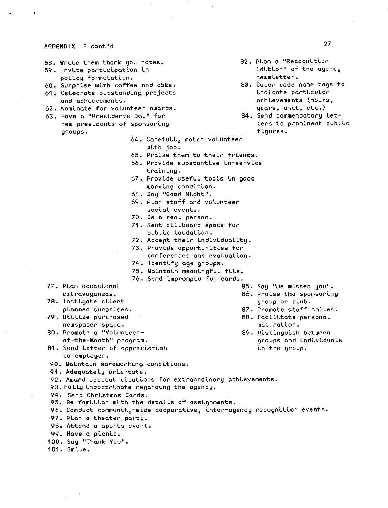#### APPENDIX F cont'd

- 58. WrLte them thank you notes.
- 59. Invite participation in poLLcy formuLatLon.
- 60. SurprLse wLth coffee and cake.
- 61. Celebrate outstandLng projects and achLevements.
- 62. NomLnate for volunteer awards.
- **63. Hove a 11PresLdents Oay <sup>11</sup>for**  new presidents of sponsoring groups.
	- 64. CarefuLLy match volunteer wLth job.
	- 65. PraLse them to theLr frLends.
	- 66. ProvLde substantLve Ln-servLce training.
	- 67, ProvLde usefuL tooLs Ln good working condition.
	- 68. Say ''Good NLght''.
	- 69. PLan staff and volunteer social events.
	- 70. Be a reaL person.
	- 71. Rent bLLLboard space for pubLLc LaudatLon.,
	- 72. Accept their individuality.
	- 73. Provide opportunities for
		- **conferences and evaLuatLon.**
	- 74. ldentLfy age groups.
	- 75. MaLntaLn meanLngfuL fLLe.
	- 76. Send Lmpromptu fun cards.
- 77. Plan occasional **extravaganzas.**
- 78. Instigate client planned surprLses.
- 79. Utilize purchased
- newspaper space. 80. Promote a ''VoLunteerof-the-Month" program.
- 85. Say "we missed you".
- 86. Praise the sponsoring
- group or cLub.
- 87. Promote staff smiles.
- 88. Facilitate personal maturation.
- 89. Distinguish between groups and LndLvLduaLs
- 81. Send Letter of appreclation and the group. to emp Loyer.
- 90. Maintain safeworking conditions.
- 91. Adequately orientate.

92. Award special citations for extraerdinary achievements.

- 93. Fully indoctrinate regarding the agency.
- 94. Send ChrLstmas Cards.
- 95. Be familiar with the details of assignments.
- 96. Conduct community-wide cooperative, inter-agency recognition events.
- 97. PLan a theater party.
- 98. Attend a sports event.
- 99. Have a picnic.

100. Say "Thank You".

101. SmLLe.

- 27
- 82. Plan a "Recognition Edition" of the agency news Letter.
- 83. CoLor code name tags to indicate particular achLevements (hours, uears, unit, etc.)
- 84. Send commendatory Letters to prominent public flgures.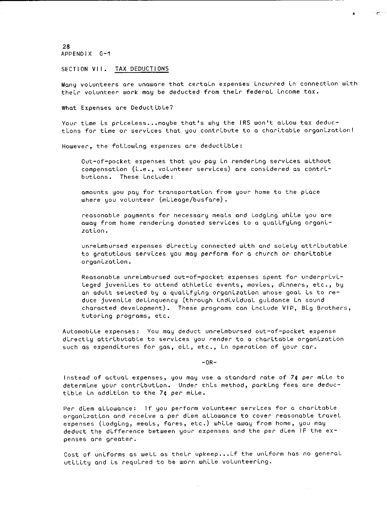28 APPENDIX G-1

#### SECTION VII. TAX DEDUCTIONS

Many volunteers are unaware that certain expenses incurred in connection with their volunteer work may be deducted from their federal income tax.

•

لباد حوال

What Expenses are Deductible?

Your time is priceless... maybe that's why the IRS won't allow tax deductions for time or services that you contribute to a charitable organization!

However, the following expenxes are deductible:

Out-of-pocket expenses that you pay in rendering services without compensation (i.e., volunteer services) are considered as contributions. These include:

amounts you pay for transportation from your home to the place where you volunteer (mileage/busfare).

reasonable payments for necessary meals and lodging while you are away from home rendering donated services to a qualifying organi**zotLon.** 

unrelmbursed expenses directly connected with and solely attributable to gratutious services you may perform for a church or charitable **orgonLzat Lon.** 

Reasonable unreimbursed out-of-pocket expenses spent for underprivi-Leged juveniles to attend athletic events, movies, dinners, etc., by an adult selected by a qualifying organization whose goal is to reduce juvenile delinquency (through individual guidance in sound characted development). These programs can Lnclude VIP, BLg Brothers, tutoring programs, etc.

AutomobLle expenses: You may deduct unreLmbursed out-of-pocket expense directly attributable to services you render to a charitable organization such as expenditures for gas, oil, etc., in operation of your car.

 $-OR-$ 

Instead of actual expenses, you may use a standard rate of 7¢ per mile to determine your contribution. Under this method, parking fees are deductible in addition to the 7¢ per mile.

Per diem allowance: If you perform volunteer services for a charitable **organLzatLon and receLve a per dLem allowance to cover reasonable travel**  expenses (lodging, meals, fares, etc.) while away from home, you may deduct the difference between your expenses and the per diem IF the ex**penses are greater.** 

Cost of uniforms as well as their upkeep ... if the uniform has no general utility and is required to be worn while volunteering.